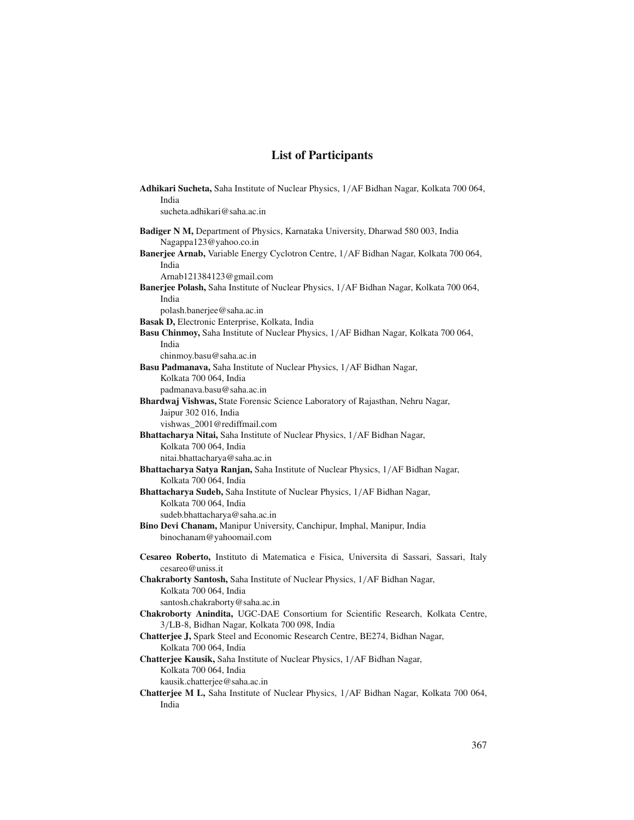| Adhikari Sucheta, Saha Institute of Nuclear Physics, 1/AF Bidhan Nagar, Kolkata 700 064,                     |  |
|--------------------------------------------------------------------------------------------------------------|--|
| India                                                                                                        |  |
| sucheta.adhikari@saha.ac.in                                                                                  |  |
| Badiger N M, Department of Physics, Karnataka University, Dharwad 580 003, India<br>Nagappa123@yahoo.co.in   |  |
| Banerjee Arnab, Variable Energy Cyclotron Centre, 1/AF Bidhan Nagar, Kolkata 700 064,                        |  |
| India                                                                                                        |  |
| Arnab121384123@gmail.com                                                                                     |  |
| Banerjee Polash, Saha Institute of Nuclear Physics, 1/AF Bidhan Nagar, Kolkata 700 064,                      |  |
| India                                                                                                        |  |
| polash.banerjee@saha.ac.in                                                                                   |  |
| <b>Basak D, Electronic Enterprise, Kolkata, India</b>                                                        |  |
| Basu Chinmoy, Saha Institute of Nuclear Physics, 1/AF Bidhan Nagar, Kolkata 700 064,                         |  |
| India                                                                                                        |  |
| chinmoy.basu@saha.ac.in                                                                                      |  |
| Basu Padmanava, Saha Institute of Nuclear Physics, 1/AF Bidhan Nagar,                                        |  |
| Kolkata 700 064, India                                                                                       |  |
| padmanava.basu@saha.ac.in                                                                                    |  |
| Bhardwaj Vishwas, State Forensic Science Laboratory of Rajasthan, Nehru Nagar,                               |  |
| Jaipur 302 016, India                                                                                        |  |
| vishwas 2001@rediffmail.com                                                                                  |  |
| Bhattacharya Nitai, Saha Institute of Nuclear Physics, 1/AF Bidhan Nagar,                                    |  |
| Kolkata 700 064, India                                                                                       |  |
| nitai.bhattacharya@saha.ac.in                                                                                |  |
| Bhattacharya Satya Ranjan, Saha Institute of Nuclear Physics, 1/AF Bidhan Nagar,                             |  |
| Kolkata 700 064, India                                                                                       |  |
| <b>Bhattacharya Sudeb, Saha Institute of Nuclear Physics, 1/AF Bidhan Nagar,</b>                             |  |
| Kolkata 700 064, India                                                                                       |  |
| sudeb.bhattacharya@saha.ac.in                                                                                |  |
| Bino Devi Chanam, Manipur University, Canchipur, Imphal, Manipur, India                                      |  |
| binochanam@yahoomail.com                                                                                     |  |
| Cesareo Roberto, Instituto di Matematica e Fisica, Universita di Sassari, Sassari, Italy<br>cesareo@uniss.it |  |
| Chakraborty Santosh, Saha Institute of Nuclear Physics, 1/AF Bidhan Nagar,                                   |  |
| Kolkata 700 064, India                                                                                       |  |
| santosh.chakraborty@saha.ac.in                                                                               |  |
| Chakroborty Anindita, UGC-DAE Consortium for Scientific Research, Kolkata Centre,                            |  |
| 3/LB-8, Bidhan Nagar, Kolkata 700 098, India                                                                 |  |
| Chatterjee J, Spark Steel and Economic Research Centre, BE274, Bidhan Nagar,                                 |  |
| Kolkata 700 064, India                                                                                       |  |
| Chatterjee Kausik, Saha Institute of Nuclear Physics, 1/AF Bidhan Nagar,                                     |  |
| Kolkata 700 064, India                                                                                       |  |
| kausik.chatterjee@saha.ac.in                                                                                 |  |
| Chatterjee M L, Saha Institute of Nuclear Physics, 1/AF Bidhan Nagar, Kolkata 700 064,                       |  |
| India                                                                                                        |  |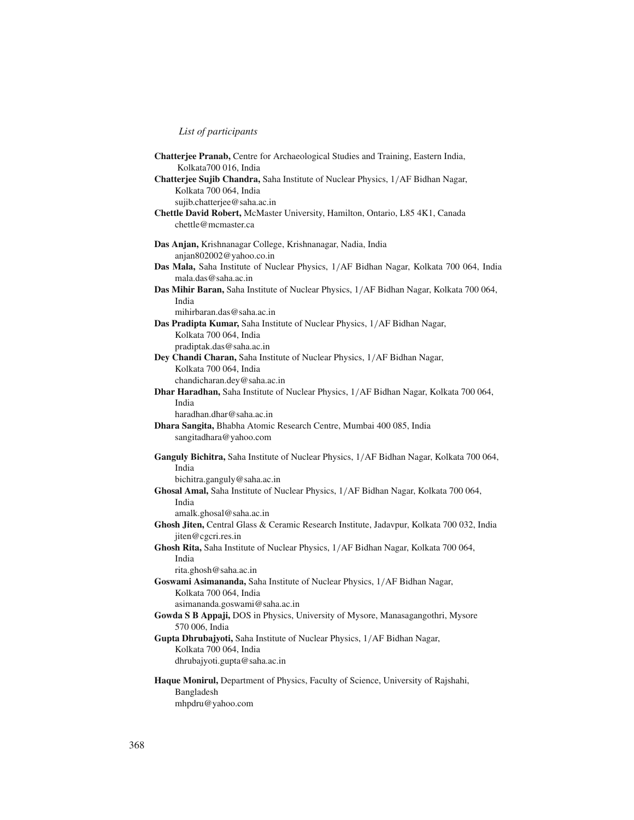| <b>Chatterjee Pranab, Centre for Archaeological Studies and Training, Eastern India,</b><br>Kolkata700 016, India |  |
|-------------------------------------------------------------------------------------------------------------------|--|
| Chatterjee Sujib Chandra, Saha Institute of Nuclear Physics, 1/AF Bidhan Nagar,                                   |  |
| Kolkata 700 064, India                                                                                            |  |
| sujib.chatterjee@saha.ac.in                                                                                       |  |
| Chettle David Robert, McMaster University, Hamilton, Ontario, L85 4K1, Canada                                     |  |
| chettle@mcmaster.ca                                                                                               |  |
|                                                                                                                   |  |
| Das Anjan, Krishnanagar College, Krishnanagar, Nadia, India<br>anjan802002@yahoo.co.in                            |  |
| Das Mala, Saha Institute of Nuclear Physics, 1/AF Bidhan Nagar, Kolkata 700 064, India                            |  |
| mala.das@saha.ac.in                                                                                               |  |
| Das Mihir Baran, Saha Institute of Nuclear Physics, 1/AF Bidhan Nagar, Kolkata 700 064,                           |  |
| India                                                                                                             |  |
| mihirbaran.das@saha.ac.in                                                                                         |  |
| Das Pradipta Kumar, Saha Institute of Nuclear Physics, 1/AF Bidhan Nagar,                                         |  |
| Kolkata 700 064, India                                                                                            |  |
| pradiptak.das@saha.ac.in                                                                                          |  |
| Dey Chandi Charan, Saha Institute of Nuclear Physics, 1/AF Bidhan Nagar,                                          |  |
| Kolkata 700 064, India                                                                                            |  |
| chandicharan.dey@saha.ac.in                                                                                       |  |
| Dhar Haradhan, Saha Institute of Nuclear Physics, 1/AF Bidhan Nagar, Kolkata 700 064,                             |  |
| India                                                                                                             |  |
| haradhan.dhar@saha.ac.in                                                                                          |  |
| Dhara Sangita, Bhabha Atomic Research Centre, Mumbai 400 085, India                                               |  |
| sangitadhara@yahoo.com                                                                                            |  |
| Ganguly Bichitra, Saha Institute of Nuclear Physics, 1/AF Bidhan Nagar, Kolkata 700 064,                          |  |
| India                                                                                                             |  |
| bichitra.ganguly@saha.ac.in                                                                                       |  |
| Ghosal Amal, Saha Institute of Nuclear Physics, 1/AF Bidhan Nagar, Kolkata 700 064,                               |  |
| India                                                                                                             |  |
| amalk.ghosal@saha.ac.in                                                                                           |  |
| Ghosh Jiten, Central Glass & Ceramic Research Institute, Jadavpur, Kolkata 700 032, India                         |  |
| jiten@cgcri.res.in                                                                                                |  |
| Ghosh Rita, Saha Institute of Nuclear Physics, 1/AF Bidhan Nagar, Kolkata 700 064,<br>India                       |  |
| rita.ghosh@saha.ac.in                                                                                             |  |
| Goswami Asimananda, Saha Institute of Nuclear Physics, 1/AF Bidhan Nagar,                                         |  |
| Kolkata 700 064, India                                                                                            |  |
| asimananda.goswami@saha.ac.in                                                                                     |  |
| Gowda S B Appaji, DOS in Physics, University of Mysore, Manasagangothri, Mysore                                   |  |
| 570 006, India                                                                                                    |  |
| Gupta Dhrubajyoti, Saha Institute of Nuclear Physics, 1/AF Bidhan Nagar,                                          |  |
| Kolkata 700 064, India                                                                                            |  |
| dhrubajyoti.gupta@saha.ac.in                                                                                      |  |
| Haque Monirul, Department of Physics, Faculty of Science, University of Rajshahi,                                 |  |
| Bangladesh                                                                                                        |  |
| mhpdru@yahoo.com                                                                                                  |  |
|                                                                                                                   |  |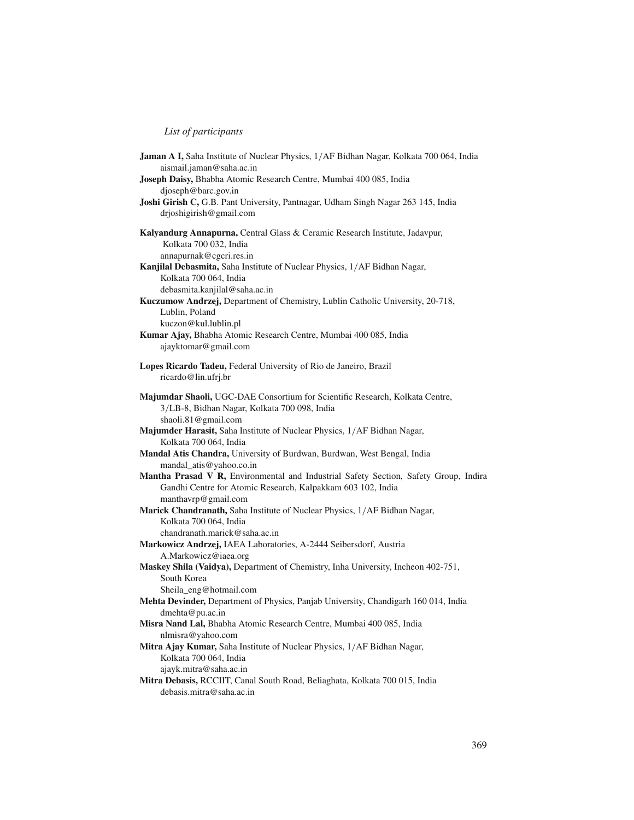| Jaman A I, Saha Institute of Nuclear Physics, 1/AF Bidhan Nagar, Kolkata 700 064, India<br>aismail.jaman@saha.ac.in                                 |  |
|-----------------------------------------------------------------------------------------------------------------------------------------------------|--|
| Joseph Daisy, Bhabha Atomic Research Centre, Mumbai 400 085, India                                                                                  |  |
| djoseph@barc.gov.in                                                                                                                                 |  |
| Joshi Girish C, G.B. Pant University, Pantnagar, Udham Singh Nagar 263 145, India<br>drjoshigirish@gmail.com                                        |  |
| Kalyandurg Annapurna, Central Glass & Ceramic Research Institute, Jadavpur,                                                                         |  |
| Kolkata 700 032, India<br>annapurnak@cgcri.res.in                                                                                                   |  |
| Kanjilal Debasmita, Saha Institute of Nuclear Physics, 1/AF Bidhan Nagar,                                                                           |  |
| Kolkata 700 064, India                                                                                                                              |  |
| debasmita.kanjilal@saha.ac.in                                                                                                                       |  |
| Kuczumow Andrzej, Department of Chemistry, Lublin Catholic University, 20-718,                                                                      |  |
| Lublin, Poland                                                                                                                                      |  |
| kuczon@kul.lublin.pl                                                                                                                                |  |
| Kumar Ajay, Bhabha Atomic Research Centre, Mumbai 400 085, India                                                                                    |  |
| ajayktomar@gmail.com                                                                                                                                |  |
| Lopes Ricardo Tadeu, Federal University of Rio de Janeiro, Brazil                                                                                   |  |
| ricardo@lin.ufrj.br                                                                                                                                 |  |
| Majumdar Shaoli, UGC-DAE Consortium for Scientific Research, Kolkata Centre,                                                                        |  |
| 3/LB-8, Bidhan Nagar, Kolkata 700 098, India                                                                                                        |  |
| shaoli.81@gmail.com                                                                                                                                 |  |
| Majumder Harasit, Saha Institute of Nuclear Physics, 1/AF Bidhan Nagar,                                                                             |  |
| Kolkata 700 064, India                                                                                                                              |  |
| Mandal Atis Chandra, University of Burdwan, Burdwan, West Bengal, India                                                                             |  |
| mandal_atis@yahoo.co.in                                                                                                                             |  |
| Mantha Prasad V R, Environmental and Industrial Safety Section, Safety Group, Indira<br>Gandhi Centre for Atomic Research, Kalpakkam 603 102, India |  |
| manthavrp@gmail.com                                                                                                                                 |  |
| Marick Chandranath, Saha Institute of Nuclear Physics, 1/AF Bidhan Nagar,                                                                           |  |
| Kolkata 700 064, India                                                                                                                              |  |
| chandranath.marick@saha.ac.in                                                                                                                       |  |
| Markowicz Andrzej, IAEA Laboratories, A-2444 Seibersdorf, Austria                                                                                   |  |
| A.Markowicz@iaea.org<br>Maskey Shila (Vaidya), Department of Chemistry, Inha University, Incheon 402-751,                                           |  |
| South Korea                                                                                                                                         |  |
| Sheila_eng@hotmail.com                                                                                                                              |  |
| Mehta Devinder, Department of Physics, Panjab University, Chandigarh 160 014, India                                                                 |  |
| dmehta@pu.ac.in                                                                                                                                     |  |
| Misra Nand Lal, Bhabha Atomic Research Centre, Mumbai 400 085, India                                                                                |  |
| nlmisra@yahoo.com                                                                                                                                   |  |
| Mitra Ajay Kumar, Saha Institute of Nuclear Physics, 1/AF Bidhan Nagar,                                                                             |  |
| Kolkata 700 064, India                                                                                                                              |  |
| ajayk.mitra@saha.ac.in<br>Mitra Debasis, RCCIIT, Canal South Road, Beliaghata, Kolkata 700 015, India                                               |  |
| debasis.mitra@saha.ac.in                                                                                                                            |  |
|                                                                                                                                                     |  |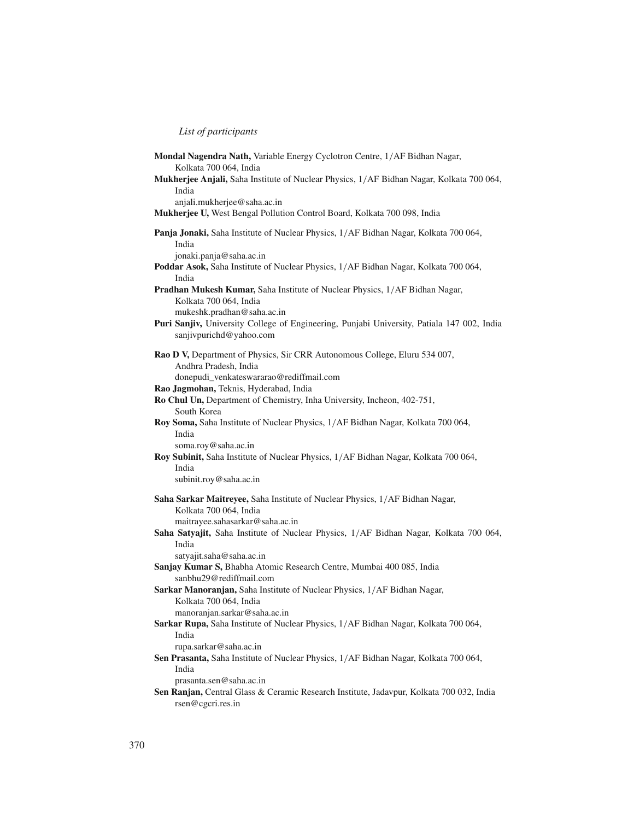| Mondal Nagendra Nath, Variable Energy Cyclotron Centre, 1/AF Bidhan Nagar,<br>Kolkata 700 064, India                                                |
|-----------------------------------------------------------------------------------------------------------------------------------------------------|
| Mukherjee Anjali, Saha Institute of Nuclear Physics, 1/AF Bidhan Nagar, Kolkata 700 064,<br>India                                                   |
| anjali.mukherjee@saha.ac.in<br>Mukherjee U, West Bengal Pollution Control Board, Kolkata 700 098, India                                             |
| Panja Jonaki, Saha Institute of Nuclear Physics, 1/AF Bidhan Nagar, Kolkata 700 064,<br>India                                                       |
| jonaki.panja@saha.ac.in<br>Poddar Asok, Saha Institute of Nuclear Physics, 1/AF Bidhan Nagar, Kolkata 700 064,                                      |
| India<br><b>Pradhan Mukesh Kumar, Saha Institute of Nuclear Physics, 1/AF Bidhan Nagar,</b><br>Kolkata 700 064, India<br>mukeshk.pradhan@saha.ac.in |
| Puri Sanjiv, University College of Engineering, Punjabi University, Patiala 147 002, India<br>sanjivpurichd@yahoo.com                               |
| Rao D V, Department of Physics, Sir CRR Autonomous College, Eluru 534 007,<br>Andhra Pradesh, India<br>donepudi_venkateswararao@rediffmail.com      |
| Rao Jagmohan, Teknis, Hyderabad, India<br>Ro Chul Un, Department of Chemistry, Inha University, Incheon, 402-751,<br>South Korea                    |
| Roy Soma, Saha Institute of Nuclear Physics, 1/AF Bidhan Nagar, Kolkata 700 064,<br>India<br>soma.roy@saha.ac.in                                    |
| Roy Subinit, Saha Institute of Nuclear Physics, 1/AF Bidhan Nagar, Kolkata 700 064,<br>India<br>subinit.roy@saha.ac.in                              |
| Saha Sarkar Maitreyee, Saha Institute of Nuclear Physics, 1/AF Bidhan Nagar,<br>Kolkata 700 064, India<br>maitrayee.sahasarkar@saha.ac.in           |
| Saha Satyajit, Saha Institute of Nuclear Physics, 1/AF Bidhan Nagar, Kolkata 700 064,<br>India<br>satyajit.saha@saha.ac.in                          |
| Sanjay Kumar S, Bhabha Atomic Research Centre, Mumbai 400 085, India<br>sanbhu29@rediffmail.com                                                     |
| Sarkar Manoranjan, Saha Institute of Nuclear Physics, 1/AF Bidhan Nagar,<br>Kolkata 700 064, India<br>manoranjan.sarkar@saha.ac.in                  |
| Sarkar Rupa, Saha Institute of Nuclear Physics, 1/AF Bidhan Nagar, Kolkata 700 064,<br>India<br>rupa.sarkar@saha.ac.in                              |
| Sen Prasanta, Saha Institute of Nuclear Physics, 1/AF Bidhan Nagar, Kolkata 700 064,                                                                |
| India                                                                                                                                               |
| prasanta.sen@saha.ac.in                                                                                                                             |
| Sen Ranjan, Central Glass & Ceramic Research Institute, Jadavpur, Kolkata 700 032, India<br>rsen@cgcri.res.in                                       |